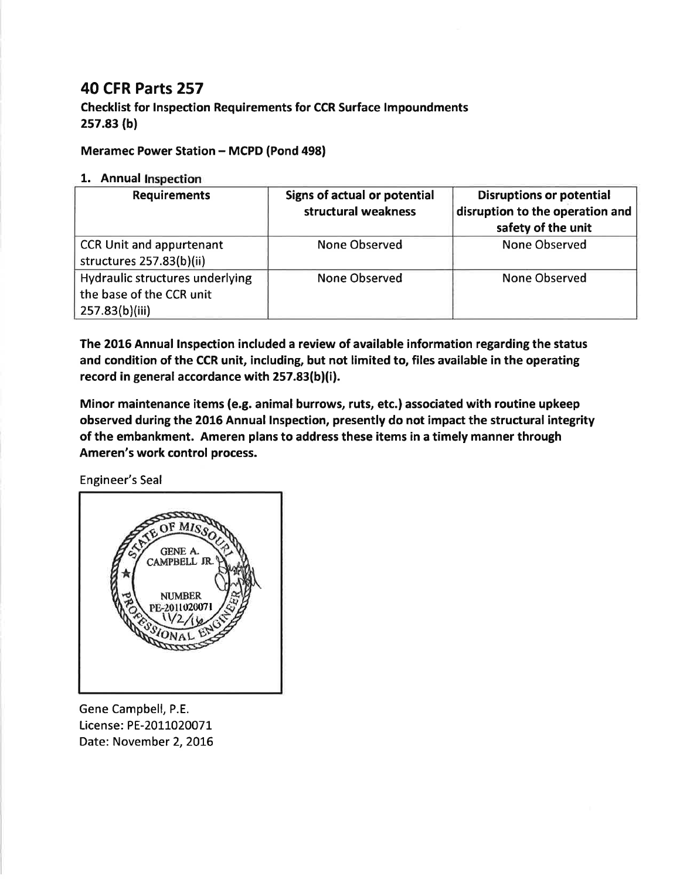## 40 CFR Parts 257

Checklist for lnspection Requirements for CCR Surface lmpoundments 2s7.83 (b)

## Meramec Power Station - MCPD (Pond 498)

## 1. Annual Inspection

| <b>Requirements</b>                                                           | Signs of actual or potential<br>structural weakness | <b>Disruptions or potential</b><br>disruption to the operation and<br>safety of the unit |
|-------------------------------------------------------------------------------|-----------------------------------------------------|------------------------------------------------------------------------------------------|
| <b>CCR Unit and appurtenant</b><br>structures 257.83(b)(ii)                   | <b>None Observed</b>                                | <b>None Observed</b>                                                                     |
| Hydraulic structures underlying<br>the base of the CCR unit<br>257.83(b)(iii) | None Observed                                       | <b>None Observed</b>                                                                     |

The 2016 Annual lnspection included a review of available information regarding the status and condition of the CCR unit, including, but not limited to, files available in the operating record in general accordance with 257.83(b)(i).

Minor maintenance items (e.g. animal burrows, ruts, etc.) associated with routine upkeep observed during the 2016 Annual Inspection, presently do not impact the structural integrity of the embankment. Ameren plans to address these items in a timely manner through Ameren's work control process.

Engineer's Seal



Gene Campbell, P.E. License: PE-2011020071 Date: November 2, 2016